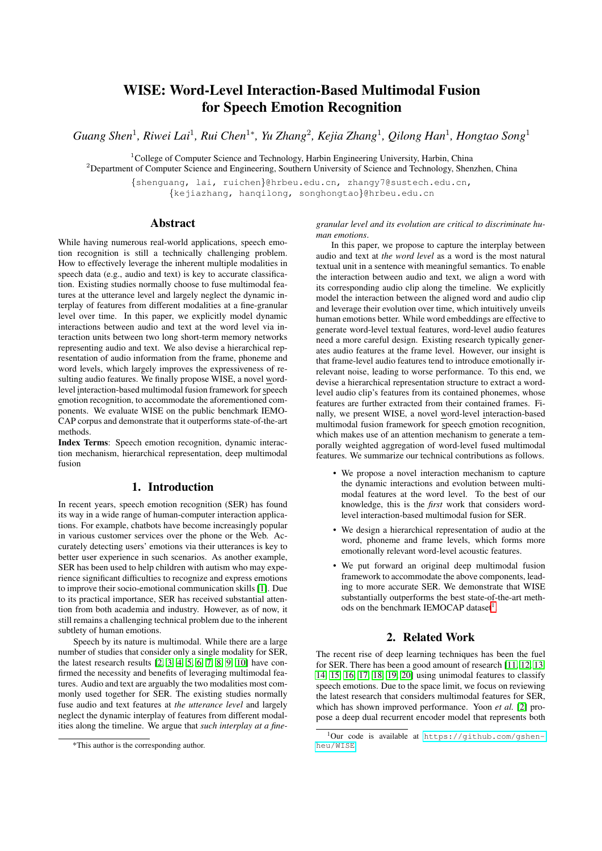# WISE: Word-Level Interaction-Based Multimodal Fusion for Speech Emotion Recognition

*Guang Shen*<sup>1</sup> *, Riwei Lai*<sup>1</sup> *, Rui Chen*<sup>1</sup><sup>∗</sup> *, Yu Zhang*<sup>2</sup> *, Kejia Zhang*<sup>1</sup> *, Qilong Han*<sup>1</sup> *, Hongtao Song*<sup>1</sup>

<sup>1</sup>College of Computer Science and Technology, Harbin Engineering University, Harbin, China <sup>2</sup>Department of Computer Science and Engineering, Southern University of Science and Technology, Shenzhen, China {shenguang, lai, ruichen}@hrbeu.edu.cn, zhangy7@sustech.edu.cn, {kejiazhang, hanqilong, songhongtao}@hrbeu.edu.cn

Abstract

While having numerous real-world applications, speech emotion recognition is still a technically challenging problem. How to effectively leverage the inherent multiple modalities in speech data (e.g., audio and text) is key to accurate classification. Existing studies normally choose to fuse multimodal features at the utterance level and largely neglect the dynamic interplay of features from different modalities at a fine-granular level over time. In this paper, we explicitly model dynamic interactions between audio and text at the word level via interaction units between two long short-term memory networks representing audio and text. We also devise a hierarchical representation of audio information from the frame, phoneme and word levels, which largely improves the expressiveness of resulting audio features. We finally propose WISE, a novel wordlevel interaction-based multimodal fusion framework for speech emotion recognition, to accommodate the aforementioned components. We evaluate WISE on the public benchmark IEMO-CAP corpus and demonstrate that it outperforms state-of-the-art methods.

Index Terms: Speech emotion recognition, dynamic interaction mechanism, hierarchical representation, deep multimodal fusion

### 1. Introduction

In recent years, speech emotion recognition (SER) has found its way in a wide range of human-computer interaction applications. For example, chatbots have become increasingly popular in various customer services over the phone or the Web. Accurately detecting users' emotions via their utterances is key to better user experience in such scenarios. As another example, SER has been used to help children with autism who may experience significant difficulties to recognize and express emotions to improve their socio-emotional communication skills [\[1\]](#page-4-0). Due to its practical importance, SER has received substantial attention from both academia and industry. However, as of now, it still remains a challenging technical problem due to the inherent subtlety of human emotions.

Speech by its nature is multimodal. While there are a large number of studies that consider only a single modality for SER, the latest research results  $[2, 3, 4, 5, 6, 7, 8, 9, 10]$  $[2, 3, 4, 5, 6, 7, 8, 9, 10]$  $[2, 3, 4, 5, 6, 7, 8, 9, 10]$  $[2, 3, 4, 5, 6, 7, 8, 9, 10]$  $[2, 3, 4, 5, 6, 7, 8, 9, 10]$  $[2, 3, 4, 5, 6, 7, 8, 9, 10]$  $[2, 3, 4, 5, 6, 7, 8, 9, 10]$  $[2, 3, 4, 5, 6, 7, 8, 9, 10]$  $[2, 3, 4, 5, 6, 7, 8, 9, 10]$  have confirmed the necessity and benefits of leveraging multimodal features. Audio and text are arguably the two modalities most commonly used together for SER. The existing studies normally fuse audio and text features at *the utterance level* and largely neglect the dynamic interplay of features from different modalities along the timeline. We argue that *such interplay at a fine-* *granular level and its evolution are critical to discriminate human emotions*.

In this paper, we propose to capture the interplay between audio and text at *the word level* as a word is the most natural textual unit in a sentence with meaningful semantics. To enable the interaction between audio and text, we align a word with its corresponding audio clip along the timeline. We explicitly model the interaction between the aligned word and audio clip and leverage their evolution over time, which intuitively unveils human emotions better. While word embeddings are effective to generate word-level textual features, word-level audio features need a more careful design. Existing research typically generates audio features at the frame level. However, our insight is that frame-level audio features tend to introduce emotionally irrelevant noise, leading to worse performance. To this end, we devise a hierarchical representation structure to extract a wordlevel audio clip's features from its contained phonemes, whose features are further extracted from their contained frames. Finally, we present WISE, a novel word-level interaction-based multimodal fusion framework for speech emotion recognition, which makes use of an attention mechanism to generate a temporally weighted aggregation of word-level fused multimodal features. We summarize our technical contributions as follows.

- We propose a novel interaction mechanism to capture the dynamic interactions and evolution between multimodal features at the word level. To the best of our knowledge, this is the *first* work that considers wordlevel interaction-based multimodal fusion for SER.
- We design a hierarchical representation of audio at the word, phoneme and frame levels, which forms more emotionally relevant word-level acoustic features.
- We put forward an original deep multimodal fusion framework to accommodate the above components, leading to more accurate SER. We demonstrate that WISE substantially outperforms the best state-of-the-art meth-ods on the benchmark IEMOCAP dataset<sup>[1](#page-0-0)</sup>.

## 2. Related Work

The recent rise of deep learning techniques has been the fuel for SER. There has been a good amount of research [\[11,](#page-4-10) [12,](#page-4-11) [13,](#page-4-12) [14,](#page-4-13) [15,](#page-4-14) [16,](#page-4-15) [17,](#page-4-16) [18,](#page-4-17) [19,](#page-4-18) [20\]](#page-4-19) using unimodal features to classify speech emotions. Due to the space limit, we focus on reviewing the latest research that considers multimodal features for SER, which has shown improved performance. Yoon *et al.* [\[2\]](#page-4-1) propose a deep dual recurrent encoder model that represents both

<sup>\*</sup>This author is the corresponding author.

<span id="page-0-0"></span><sup>1</sup>Our code is available at [https://github.com/gshen](https://github.com/gshen-heu/WISE)[heu/WISE](https://github.com/gshen-heu/WISE).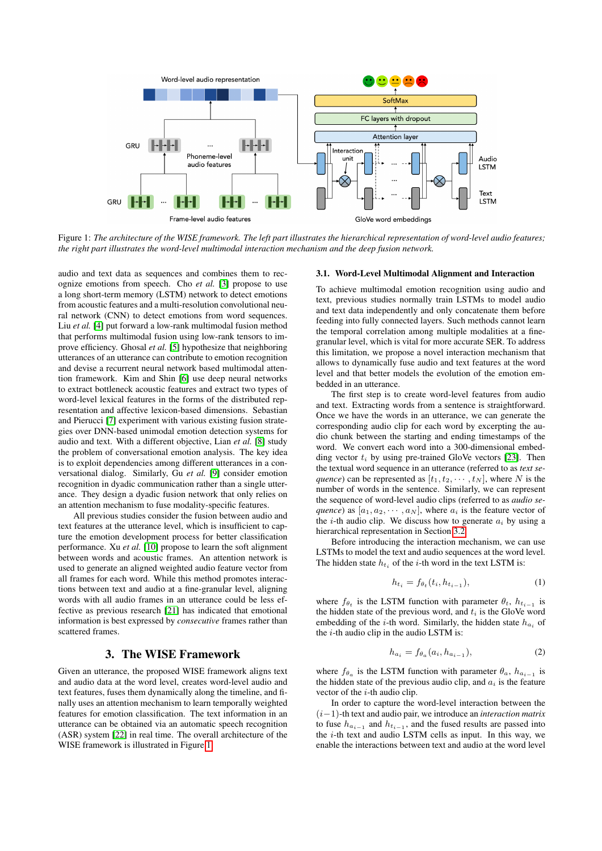<span id="page-1-0"></span>

Figure 1: *The architecture of the WISE framework. The left part illustrates the hierarchical representation of word-level audio features; the right part illustrates the word-level multimodal interaction mechanism and the deep fusion network.*

audio and text data as sequences and combines them to recognize emotions from speech. Cho *et al.* [\[3\]](#page-4-2) propose to use a long short-term memory (LSTM) network to detect emotions from acoustic features and a multi-resolution convolutional neural network (CNN) to detect emotions from word sequences. Liu *et al.* [\[4\]](#page-4-3) put forward a low-rank multimodal fusion method that performs multimodal fusion using low-rank tensors to improve efficiency. Ghosal *et al.* [\[5\]](#page-4-4) hypothesize that neighboring utterances of an utterance can contribute to emotion recognition and devise a recurrent neural network based multimodal attention framework. Kim and Shin [\[6\]](#page-4-5) use deep neural networks to extract bottleneck acoustic features and extract two types of word-level lexical features in the forms of the distributed representation and affective lexicon-based dimensions. Sebastian and Pierucci [\[7\]](#page-4-6) experiment with various existing fusion strategies over DNN-based unimodal emotion detection systems for audio and text. With a different objective, Lian *et al.* [\[8\]](#page-4-7) study the problem of conversational emotion analysis. The key idea is to exploit dependencies among different utterances in a conversational dialog. Similarly, Gu *et al.* [\[9\]](#page-4-8) consider emotion recognition in dyadic communication rather than a single utterance. They design a dyadic fusion network that only relies on an attention mechanism to fuse modality-specific features.

All previous studies consider the fusion between audio and text features at the utterance level, which is insufficient to capture the emotion development process for better classification performance. Xu *et al.* [\[10\]](#page-4-9) propose to learn the soft alignment between words and acoustic frames. An attention network is used to generate an aligned weighted audio feature vector from all frames for each word. While this method promotes interactions between text and audio at a fine-granular level, aligning words with all audio frames in an utterance could be less effective as previous research [\[21\]](#page-4-20) has indicated that emotional information is best expressed by *consecutive* frames rather than scattered frames.

# 3. The WISE Framework

Given an utterance, the proposed WISE framework aligns text and audio data at the word level, creates word-level audio and text features, fuses them dynamically along the timeline, and finally uses an attention mechanism to learn temporally weighted features for emotion classification. The text information in an utterance can be obtained via an automatic speech recognition (ASR) system [\[22\]](#page-4-21) in real time. The overall architecture of the WISE framework is illustrated in Figure [1.](#page-1-0)

#### <span id="page-1-1"></span>3.1. Word-Level Multimodal Alignment and Interaction

To achieve multimodal emotion recognition using audio and text, previous studies normally train LSTMs to model audio and text data independently and only concatenate them before feeding into fully connected layers. Such methods cannot learn the temporal correlation among multiple modalities at a finegranular level, which is vital for more accurate SER. To address this limitation, we propose a novel interaction mechanism that allows to dynamically fuse audio and text features at the word level and that better models the evolution of the emotion embedded in an utterance.

The first step is to create word-level features from audio and text. Extracting words from a sentence is straightforward. Once we have the words in an utterance, we can generate the corresponding audio clip for each word by excerpting the audio chunk between the starting and ending timestamps of the word. We convert each word into a 300-dimensional embedding vector  $t_i$  by using pre-trained GloVe vectors [\[23\]](#page-4-22). Then the textual word sequence in an utterance (referred to as *text sequence*) can be represented as  $[t_1, t_2, \cdots, t_N]$ , where N is the number of words in the sentence. Similarly, we can represent the sequence of word-level audio clips (referred to as *audio sequence*) as  $[a_1, a_2, \cdots, a_N]$ , where  $a_i$  is the feature vector of the *i*-th audio clip. We discuss how to generate  $a_i$  by using a hierarchical representation in Section [3.2.](#page-2-0)

Before introducing the interaction mechanism, we can use LSTMs to model the text and audio sequences at the word level. The hidden state  $h_{t_i}$  of the *i*-th word in the text LSTM is:

$$
h_{t_i} = f_{\theta_t}(t_i, h_{t_{i-1}}), \tag{1}
$$

where  $f_{\theta_t}$  is the LSTM function with parameter  $\theta_t$ ,  $h_{t_{i-1}}$  is the hidden state of the previous word, and  $t_i$  is the GloVe word embedding of the *i*-th word. Similarly, the hidden state  $h_{a_i}$  of the  $i$ -th audio clip in the audio LSTM is:

$$
h_{a_i} = f_{\theta_a}(a_i, h_{a_{i-1}}), \tag{2}
$$

where  $f_{\theta_a}$  is the LSTM function with parameter  $\theta_a$ ,  $h_{a_{i-1}}$  is the hidden state of the previous audio clip, and  $a_i$  is the feature vector of the  $i$ -th audio clip.

In order to capture the word-level interaction between the (i−1)-th text and audio pair, we introduce an *interaction matrix* to fuse  $h_{a_{i-1}}$  and  $h_{t_{i-1}}$ , and the fused results are passed into the  $i$ -th text and audio LSTM cells as input. In this way, we enable the interactions between text and audio at the word level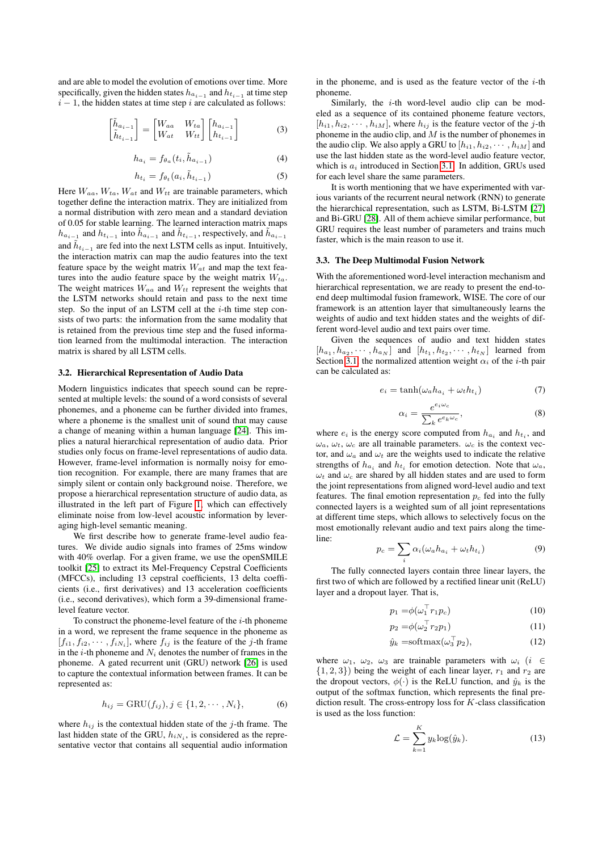and are able to model the evolution of emotions over time. More specifically, given the hidden states  $h_{a_{i-1}}$  and  $h_{t_{i-1}}$  at time step  $i - 1$ , the hidden states at time step i are calculated as follows:

$$
\begin{bmatrix} \tilde{h}_{a_{i-1}} \\ \tilde{h}_{t_{i-1}} \end{bmatrix} = \begin{bmatrix} W_{aa} & W_{ta} \\ W_{at} & W_{tt} \end{bmatrix} \begin{bmatrix} h_{a_{i-1}} \\ h_{t_{i-1}} \end{bmatrix}
$$
 (3)

$$
h_{a_i} = f_{\theta_a}(t_i, \tilde{h}_{a_{i-1}}) \tag{4}
$$

$$
h_{t_i} = f_{\theta_t}(a_i, \tilde{h}_{t_{i-1}}) \tag{5}
$$

Here  $W_{aa}$ ,  $W_{ta}$ ,  $W_{at}$  and  $W_{tt}$  are trainable parameters, which together define the interaction matrix. They are initialized from a normal distribution with zero mean and a standard deviation of 0.05 for stable learning. The learned interaction matrix maps  $h_{a_{i-1}}$  and  $h_{t_{i-1}}$  into  $\tilde{h}_{a_{i-1}}$  and  $\tilde{h}_{t_{i-1}}$ , respectively, and  $\tilde{h}_{a_{i-1}}$ and  $\tilde{h}_{t_{i-1}}$  are fed into the next LSTM cells as input. Intuitively, the interaction matrix can map the audio features into the text feature space by the weight matrix  $W_{at}$  and map the text features into the audio feature space by the weight matrix  $W_{ta}$ . The weight matrices  $W_{aa}$  and  $W_{tt}$  represent the weights that the LSTM networks should retain and pass to the next time step. So the input of an LSTM cell at the  $i$ -th time step consists of two parts: the information from the same modality that is retained from the previous time step and the fused information learned from the multimodal interaction. The interaction matrix is shared by all LSTM cells.

#### <span id="page-2-0"></span>3.2. Hierarchical Representation of Audio Data

Modern linguistics indicates that speech sound can be represented at multiple levels: the sound of a word consists of several phonemes, and a phoneme can be further divided into frames, where a phoneme is the smallest unit of sound that may cause a change of meaning within a human language [\[24\]](#page-4-23). This implies a natural hierarchical representation of audio data. Prior studies only focus on frame-level representations of audio data. However, frame-level information is normally noisy for emotion recognition. For example, there are many frames that are simply silent or contain only background noise. Therefore, we propose a hierarchical representation structure of audio data, as illustrated in the left part of Figure [1,](#page-1-0) which can effectively eliminate noise from low-level acoustic information by leveraging high-level semantic meaning.

We first describe how to generate frame-level audio features. We divide audio signals into frames of 25ms window with 40% overlap. For a given frame, we use the openSMILE toolkit [\[25\]](#page-4-24) to extract its Mel-Frequency Cepstral Coefficients (MFCCs), including 13 cepstral coefficients, 13 delta coefficients (i.e., first derivatives) and 13 acceleration coefficients (i.e., second derivatives), which form a 39-dimensional framelevel feature vector.

To construct the phoneme-level feature of the  $i$ -th phoneme in a word, we represent the frame sequence in the phoneme as  $[f_{i1}, f_{i2}, \cdots, f_{iN_i}]$ , where  $f_{ij}$  is the feature of the j-th frame in the *i*-th phoneme and  $N_i$  denotes the number of frames in the phoneme. A gated recurrent unit (GRU) network [\[26\]](#page-4-25) is used to capture the contextual information between frames. It can be represented as:

$$
h_{ij} = \text{GRU}(f_{ij}), j \in \{1, 2, \cdots, N_i\},
$$
 (6)

where  $h_{ij}$  is the contextual hidden state of the j-th frame. The last hidden state of the GRU,  $h_{iN_i}$ , is considered as the representative vector that contains all sequential audio information in the phoneme, and is used as the feature vector of the  $i$ -th phoneme.

Similarly, the  $i$ -th word-level audio clip can be modeled as a sequence of its contained phoneme feature vectors,  $[h_{i1}, h_{i2}, \cdots, h_{iM}]$ , where  $h_{ij}$  is the feature vector of the j-th phoneme in the audio clip, and  $M$  is the number of phonemes in the audio clip. We also apply a GRU to  $[h_{i1}, h_{i2}, \cdots, h_{iM}]$  and use the last hidden state as the word-level audio feature vector, which is  $a_i$  introduced in Section [3.1.](#page-1-1) In addition, GRUs used for each level share the same parameters.

It is worth mentioning that we have experimented with various variants of the recurrent neural network (RNN) to generate the hierarchical representation, such as LSTM, Bi-LSTM [\[27\]](#page-4-26) and Bi-GRU [\[28\]](#page-4-27). All of them achieve similar performance, but GRU requires the least number of parameters and trains much faster, which is the main reason to use it.

### 3.3. The Deep Multimodal Fusion Network

With the aforementioned word-level interaction mechanism and hierarchical representation, we are ready to present the end-toend deep multimodal fusion framework, WISE. The core of our framework is an attention layer that simultaneously learns the weights of audio and text hidden states and the weights of different word-level audio and text pairs over time.

Given the sequences of audio and text hidden states  $[h_{a_1}, h_{a_2}, \cdots, h_{a_N}]$  and  $[h_{t_1}, h_{t_2}, \cdots, h_{t_N}]$  learned from Section [3.1,](#page-1-1) the normalized attention weight  $\alpha_i$  of the *i*-th pair can be calculated as:

$$
e_i = \tanh(\omega_a h_{a_i} + \omega_t h_{t_i})
$$
\n(7)

$$
\alpha_i = \frac{e^{e_i \omega_c}}{\sum_k e^{e_k \omega_c}},\tag{8}
$$

where  $e_i$  is the energy score computed from  $h_{a_i}$  and  $h_{t_i}$ , and  $\omega_a$ ,  $\omega_t$ ,  $\omega_c$  are all trainable parameters.  $\omega_c$  is the context vector, and  $\omega_a$  and  $\omega_t$  are the weights used to indicate the relative strengths of  $h_{a_i}$  and  $h_{t_i}$  for emotion detection. Note that  $\omega_a$ ,  $\omega_t$  and  $\omega_c$  are shared by all hidden states and are used to form the joint representations from aligned word-level audio and text features. The final emotion representation  $p_c$  fed into the fully connected layers is a weighted sum of all joint representations at different time steps, which allows to selectively focus on the most emotionally relevant audio and text pairs along the timeline:

$$
p_c = \sum_i \alpha_i (\omega_a h_{a_i} + \omega_t h_{t_i}) \tag{9}
$$

The fully connected layers contain three linear layers, the first two of which are followed by a rectified linear unit (ReLU) layer and a dropout layer. That is,

$$
p_1 = \phi(\omega_1^\top r_1 p_c) \tag{10}
$$

$$
p_2 = \phi(\omega_2^\top r_2 p_1) \tag{11}
$$

$$
\hat{y}_k = \text{softmax}(\omega_3^\top p_2),\tag{12}
$$

where  $\omega_1$ ,  $\omega_2$ ,  $\omega_3$  are trainable parameters with  $\omega_i$  (i ∈  $\{1, 2, 3\}$  being the weight of each linear layer,  $r_1$  and  $r_2$  are the dropout vectors,  $\phi(\cdot)$  is the ReLU function, and  $\hat{y}_k$  is the output of the softmax function, which represents the final prediction result. The cross-entropy loss for  $K$ -class classification is used as the loss function:

$$
\mathcal{L} = \sum_{k=1}^{K} y_k \log(\hat{y}_k). \tag{13}
$$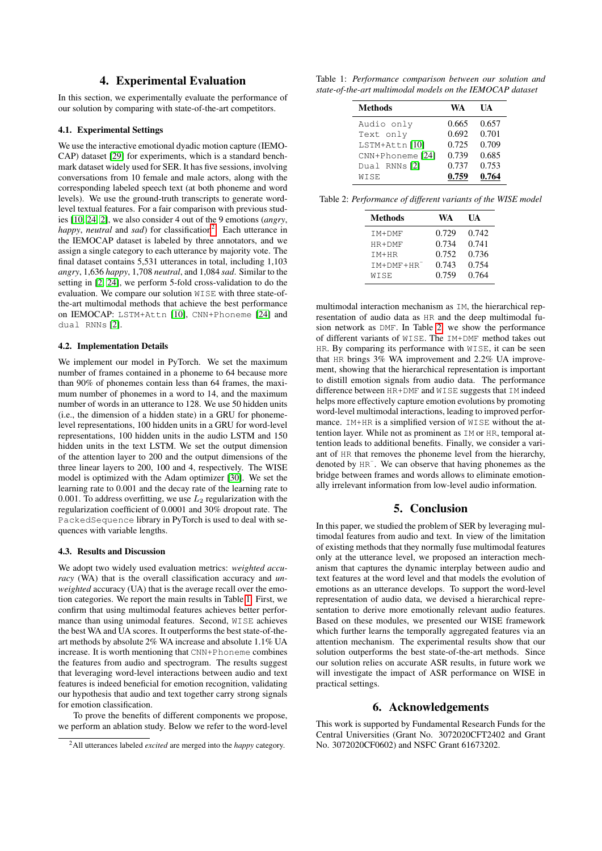### 4. Experimental Evaluation

In this section, we experimentally evaluate the performance of our solution by comparing with state-of-the-art competitors.

### 4.1. Experimental Settings

We use the interactive emotional dyadic motion capture (IEMO-CAP) dataset [\[29\]](#page-4-28) for experiments, which is a standard benchmark dataset widely used for SER. It has five sessions, involving conversations from 10 female and male actors, along with the corresponding labeled speech text (at both phoneme and word levels). We use the ground-truth transcripts to generate wordlevel textual features. For a fair comparison with previous studies [\[10,](#page-4-9) [24,](#page-4-23) [2\]](#page-4-1), we also consider 4 out of the 9 emotions (*angry*, happy, *neutral* and *sad*) for classification<sup>[2](#page-3-0)</sup>. Each utterance in the IEMOCAP dataset is labeled by three annotators, and we assign a single category to each utterance by majority vote. The final dataset contains 5,531 utterances in total, including 1,103 *angry*, 1,636 *happy*, 1,708 *neutral*, and 1,084 *sad*. Similar to the setting in [\[2,](#page-4-1) [24\]](#page-4-23), we perform 5-fold cross-validation to do the evaluation. We compare our solution WISE with three state-ofthe-art multimodal methods that achieve the best performance on IEMOCAP: LSTM+Attn [\[10\]](#page-4-9), CNN+Phoneme [\[24\]](#page-4-23) and dual RNNs [\[2\]](#page-4-1).

#### 4.2. Implementation Details

We implement our model in PyTorch. We set the maximum number of frames contained in a phoneme to 64 because more than 90% of phonemes contain less than 64 frames, the maximum number of phonemes in a word to 14, and the maximum number of words in an utterance to 128. We use 50 hidden units (i.e., the dimension of a hidden state) in a GRU for phonemelevel representations, 100 hidden units in a GRU for word-level representations, 100 hidden units in the audio LSTM and 150 hidden units in the text LSTM. We set the output dimension of the attention layer to 200 and the output dimensions of the three linear layers to 200, 100 and 4, respectively. The WISE model is optimized with the Adam optimizer [\[30\]](#page-4-29). We set the learning rate to 0.001 and the decay rate of the learning rate to 0.001. To address overfitting, we use  $L_2$  regularization with the regularization coefficient of 0.0001 and 30% dropout rate. The PackedSequence library in PyTorch is used to deal with sequences with variable lengths.

#### 4.3. Results and Discussion

We adopt two widely used evaluation metrics: *weighted accuracy* (WA) that is the overall classification accuracy and *unweighted* accuracy (UA) that is the average recall over the emotion categories. We report the main results in Table [1.](#page-3-1) First, we confirm that using multimodal features achieves better performance than using unimodal features. Second, WISE achieves the best WA and UA scores. It outperforms the best state-of-theart methods by absolute 2% WA increase and absolute 1.1% UA increase. It is worth mentioning that CNN+Phoneme combines the features from audio and spectrogram. The results suggest that leveraging word-level interactions between audio and text features is indeed beneficial for emotion recognition, validating our hypothesis that audio and text together carry strong signals for emotion classification.

To prove the benefits of different components we propose, we perform an ablation study. Below we refer to the word-level

<span id="page-3-1"></span>Table 1: *Performance comparison between our solution and state-of-the-art multimodal models on the IEMOCAP dataset*

| <b>Methods</b>   | WA    | UA    |
|------------------|-------|-------|
| Audio only       | 0.665 | 0.657 |
| Text only        | 0.692 | 0.701 |
| LSTM+Attn[10]    | 0.725 | 0.709 |
| CNN+Phoneme [24] | 0.739 | 0.685 |
| Dual RNNs [2]    | 0.737 | 0.753 |
| WISE             | 0.759 | 0.764 |

<span id="page-3-2"></span>Table 2: *Performance of different variants of the WISE model*

| Methods         | WA    | UA    |
|-----------------|-------|-------|
| TM+DMF          | 0.729 | 0.742 |
| $HR+DMF$        | 0.734 | 0.741 |
| $TM+HR$         | 0.752 | 0.736 |
| $TM+DMF+HR^{-}$ | 0.743 | 0.754 |
| WISE            | 0.759 | 0.764 |
|                 |       |       |

multimodal interaction mechanism as IM, the hierarchical representation of audio data as HR and the deep multimodal fusion network as DMF. In Table [2,](#page-3-2) we show the performance of different variants of WISE. The IM+DMF method takes out HR. By comparing its performance with WISE, it can be seen that HR brings 3% WA improvement and 2.2% UA improvement, showing that the hierarchical representation is important to distill emotion signals from audio data. The performance difference between HR+DMF and WISE suggests that IM indeed helps more effectively capture emotion evolutions by promoting word-level multimodal interactions, leading to improved performance. IM+HR is a simplified version of WISE without the attention layer. While not as prominent as IM or HR, temporal attention leads to additional benefits. Finally, we consider a variant of HR that removes the phoneme level from the hierarchy, denoted by  $HR^-$ . We can observe that having phonemes as the bridge between frames and words allows to eliminate emotionally irrelevant information from low-level audio information.

# 5. Conclusion

In this paper, we studied the problem of SER by leveraging multimodal features from audio and text. In view of the limitation of existing methods that they normally fuse multimodal features only at the utterance level, we proposed an interaction mechanism that captures the dynamic interplay between audio and text features at the word level and that models the evolution of emotions as an utterance develops. To support the word-level representation of audio data, we devised a hierarchical representation to derive more emotionally relevant audio features. Based on these modules, we presented our WISE framework which further learns the temporally aggregated features via an attention mechanism. The experimental results show that our solution outperforms the best state-of-the-art methods. Since our solution relies on accurate ASR results, in future work we will investigate the impact of ASR performance on WISE in practical settings.

### 6. Acknowledgements

This work is supported by Fundamental Research Funds for the Central Universities (Grant No. 3072020CFT2402 and Grant No. 3072020CF0602) and NSFC Grant 61673202.

<span id="page-3-0"></span><sup>2</sup>All utterances labeled *excited* are merged into the *happy* category.